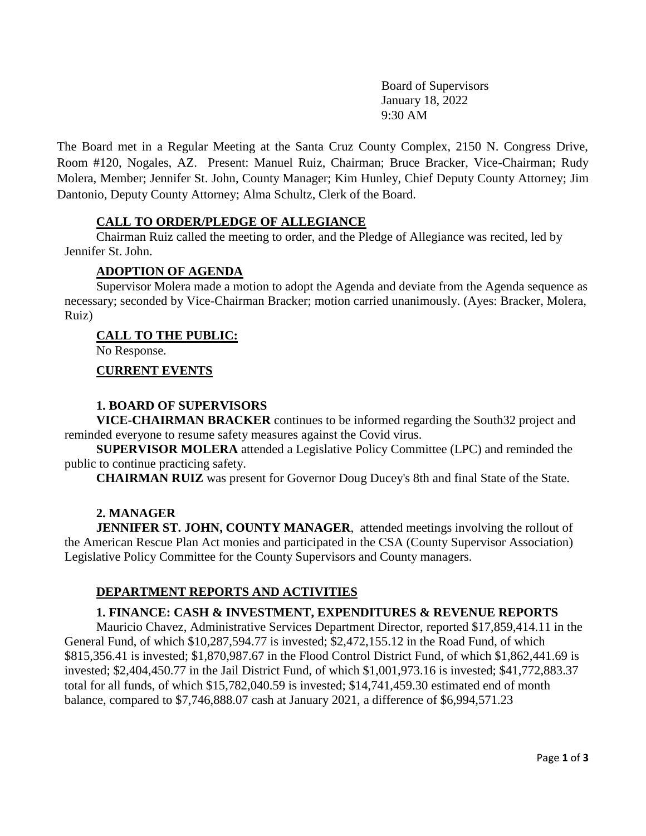Board of Supervisors January 18, 2022 9:30 AM

The Board met in a Regular Meeting at the Santa Cruz County Complex, 2150 N. Congress Drive, Room #120, Nogales, AZ. Present: Manuel Ruiz, Chairman; Bruce Bracker, Vice-Chairman; Rudy Molera, Member; Jennifer St. John, County Manager; Kim Hunley, Chief Deputy County Attorney; Jim Dantonio, Deputy County Attorney; Alma Schultz, Clerk of the Board.

## **CALL TO ORDER/PLEDGE OF ALLEGIANCE**

Chairman Ruiz called the meeting to order, and the Pledge of Allegiance was recited, led by Jennifer St. John.

#### **ADOPTION OF AGENDA**

Supervisor Molera made a motion to adopt the Agenda and deviate from the Agenda sequence as necessary; seconded by Vice-Chairman Bracker; motion carried unanimously. (Ayes: Bracker, Molera, Ruiz)

#### **CALL TO THE PUBLIC:**

No Response.

#### **CURRENT EVENTS**

#### **1. BOARD OF SUPERVISORS**

**VICE-CHAIRMAN BRACKER** continues to be informed regarding the South32 project and reminded everyone to resume safety measures against the Covid virus.

 **SUPERVISOR MOLERA** attended a Legislative Policy Committee (LPC) and reminded the public to continue practicing safety.

 **CHAIRMAN RUIZ** was present for Governor Doug Ducey's 8th and final State of the State.

#### **2. MANAGER**

**JENNIFER ST. JOHN, COUNTY MANAGER, attended meetings involving the rollout of** the American Rescue Plan Act monies and participated in the CSA (County Supervisor Association) Legislative Policy Committee for the County Supervisors and County managers.

## **DEPARTMENT REPORTS AND ACTIVITIES**

### **1. FINANCE: CASH & INVESTMENT, EXPENDITURES & REVENUE REPORTS**

Mauricio Chavez, Administrative Services Department Director, reported \$17,859,414.11 in the General Fund, of which \$10,287,594.77 is invested; \$2,472,155.12 in the Road Fund, of which \$815,356.41 is invested; \$1,870,987.67 in the Flood Control District Fund, of which \$1,862,441.69 is invested; \$2,404,450.77 in the Jail District Fund, of which \$1,001,973.16 is invested; \$41,772,883.37 total for all funds, of which \$15,782,040.59 is invested; \$14,741,459.30 estimated end of month balance, compared to \$7,746,888.07 cash at January 2021, a difference of \$6,994,571.23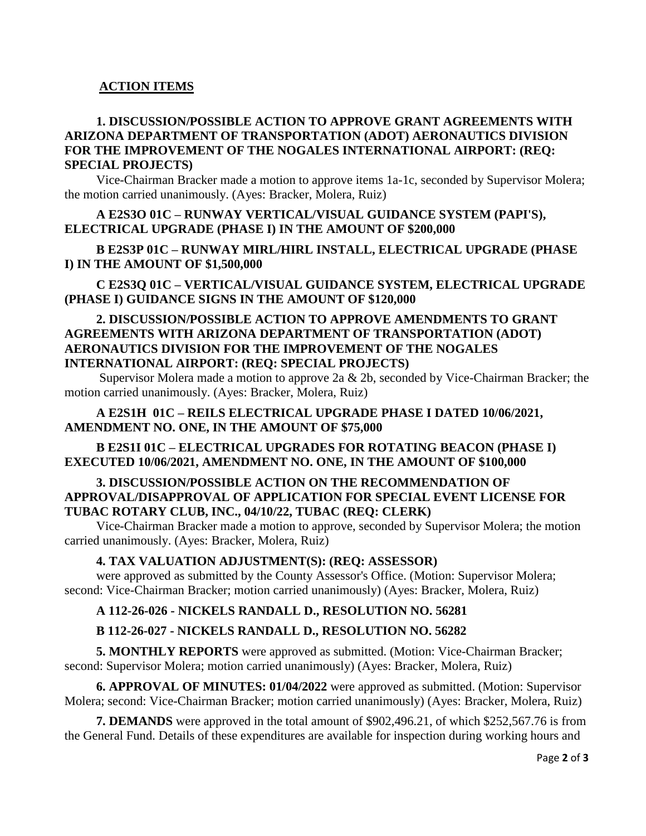# **ACTION ITEMS**

# **1. DISCUSSION/POSSIBLE ACTION TO APPROVE GRANT AGREEMENTS WITH ARIZONA DEPARTMENT OF TRANSPORTATION (ADOT) AERONAUTICS DIVISION FOR THE IMPROVEMENT OF THE NOGALES INTERNATIONAL AIRPORT: (REQ: SPECIAL PROJECTS)**

Vice-Chairman Bracker made a motion to approve items 1a-1c, seconded by Supervisor Molera; the motion carried unanimously. (Ayes: Bracker, Molera, Ruiz)

# **A E2S3O 01C – RUNWAY VERTICAL/VISUAL GUIDANCE SYSTEM (PAPI'S), ELECTRICAL UPGRADE (PHASE I) IN THE AMOUNT OF \$200,000**

**B E2S3P 01C – RUNWAY MIRL/HIRL INSTALL, ELECTRICAL UPGRADE (PHASE I) IN THE AMOUNT OF \$1,500,000**

# **C E2S3Q 01C – VERTICAL/VISUAL GUIDANCE SYSTEM, ELECTRICAL UPGRADE (PHASE I) GUIDANCE SIGNS IN THE AMOUNT OF \$120,000**

## **2. DISCUSSION/POSSIBLE ACTION TO APPROVE AMENDMENTS TO GRANT AGREEMENTS WITH ARIZONA DEPARTMENT OF TRANSPORTATION (ADOT) AERONAUTICS DIVISION FOR THE IMPROVEMENT OF THE NOGALES INTERNATIONAL AIRPORT: (REQ: SPECIAL PROJECTS)**

Supervisor Molera made a motion to approve 2a & 2b, seconded by Vice-Chairman Bracker; the motion carried unanimously. (Ayes: Bracker, Molera, Ruiz)

# **A E2S1H 01C – REILS ELECTRICAL UPGRADE PHASE I DATED 10/06/2021, AMENDMENT NO. ONE, IN THE AMOUNT OF \$75,000**

## **B E2S1I 01C – ELECTRICAL UPGRADES FOR ROTATING BEACON (PHASE I) EXECUTED 10/06/2021, AMENDMENT NO. ONE, IN THE AMOUNT OF \$100,000**

## **3. DISCUSSION/POSSIBLE ACTION ON THE RECOMMENDATION OF APPROVAL/DISAPPROVAL OF APPLICATION FOR SPECIAL EVENT LICENSE FOR TUBAC ROTARY CLUB, INC., 04/10/22, TUBAC (REQ: CLERK)**

Vice-Chairman Bracker made a motion to approve, seconded by Supervisor Molera; the motion carried unanimously. (Ayes: Bracker, Molera, Ruiz)

## **4. TAX VALUATION ADJUSTMENT(S): (REQ: ASSESSOR)**

were approved as submitted by the County Assessor's Office. (Motion: Supervisor Molera; second: Vice-Chairman Bracker; motion carried unanimously) (Ayes: Bracker, Molera, Ruiz)

# **A 112-26-026 - NICKELS RANDALL D., RESOLUTION NO. 56281**

# **B 112-26-027 - NICKELS RANDALL D., RESOLUTION NO. 56282**

**5. MONTHLY REPORTS** were approved as submitted. (Motion: Vice-Chairman Bracker; second: Supervisor Molera; motion carried unanimously) (Ayes: Bracker, Molera, Ruiz)

**6. APPROVAL OF MINUTES: 01/04/2022** were approved as submitted. (Motion: Supervisor Molera; second: Vice-Chairman Bracker; motion carried unanimously) (Ayes: Bracker, Molera, Ruiz)

**7. DEMANDS** were approved in the total amount of \$902,496.21, of which \$252,567.76 is from the General Fund. Details of these expenditures are available for inspection during working hours and